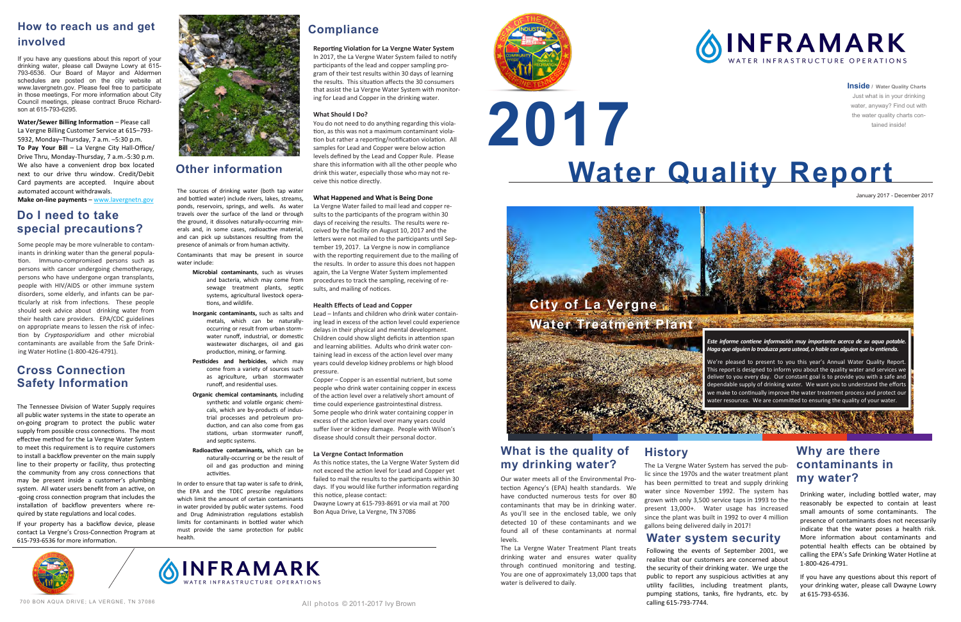# **Water Quality Report 2017**

**Inside / Water Quality Charts** Just what is in your drinking water, anyway? Find out with the water quality charts contained inside!

January 2017 - December 2017

Our water meets all of the Environmental Protection Agency's (EPA) health standards. We have conducted numerous tests for over 80 contaminants that may be in drinking water. As you'll see in the enclosed table, we only detected 10 of these contaminants and we found all of these contaminants at normal levels.

The La Vergne Water Treatment Plant treats drinking water and ensures water quality through continued monitoring and testing. You are one of approximately 13,000 taps that water is delivered to daily.

**Water/Sewer Billing Information** – Please call La Vergne Billing Customer Service at 615–793- 5932, Monday–Thursday, 7 a.m. –5:30 p.m. **To Pay Your Bill** – La Vergne City Hall-Office/ Drive Thru, Monday-Thursday, 7 a.m.-5:30 p.m. We also have a convenient drop box located next to our drive thru window. Credit/Debit Card payments are accepted. Inquire about automated account withdrawals.

**Make on-line payments** – www.lavergnetn.gov

# **How to reach us and get involved**

If you have any questions about this report of your drinking water, please call Dwayne Lowry at 615- 793-6536. Our Board of Mayor and Aldermen schedules are posted on the city website at www.lavergnetn.gov. Please feel free to participate in those meetings, For more information about City Council meetings, please contract Bruce Richardson at 615-793-6295.

700 BON AQUA DRIVE; LA VERGNE, TN 37086



In order to ensure that tap water is safe to drink the EPA and the TDEC prescribe regulations which limit the amount of certain contaminants in water provided by public water systems. Food and Drug Administration regulations establish limits for contaminants in bottled water which must provide the same protection for public health.

The sources of drinking water (both tap water and bottled water) include rivers, lakes, streams, ponds, reservoirs, springs, and wells. As water travels over the surface of the land or through the ground, it dissolves naturally-occurring minerals and, in some cases, radioactive material, and can pick up substances resulting from the presence of animals or from human activity.

Contaminants that may be present in source water include:

- **Microbial contaminants**, such as viruses and bacteria, which may come from sewage treatment plants, septic systems, agricultural livestock operations, and wildlife.
- **Inorganic contaminants,** such as salts and metals, which can be naturallyoccurring or result from urban stormwater runoff, industrial, or domestic wastewater discharges, oil and gas production, mining, or farming.
- **Pesticides and herbicides***,* which may come from a variety of sources such as agriculture, urban stormwater runoff, and residential uses.
- **Organic chemical contaminants***,* including synthetic and volatile organic chemicals, which are by-products of industrial processes and petroleum production, and can also come from gas stations, urban stormwater runoff, and septic systems.
- **Radioactive contaminants,** which can be naturally-occurring or be the result of oil and gas production and mining activities.

# **Other information**

## **Why are there contaminants in my water?**

# **Cross Connection Safety Information**

The Tennessee Division of Water Supply requires all public water systems in the state to operate an on-going program to protect the public water supply from possible cross connections. The most effective method for the La Vergne Water System to meet this requirement is to require customers to install a backflow preventer on the main supply line to their property or facility, thus protecting the community from any cross connections that may be present inside a customer's plumbing system. All water users benefit from an active, on -going cross connection program that includes the installation of backflow preventers where required by state regulations and local codes.

If your property has a backflow device, please contact La Vergne's Cross-Connection Program at 615-793-6536 for more information.





## **What is the quality of my drinking water?**



## **Do I need to take special precautions?**

Some people may be more vulnerable to contaminants in drinking water than the general population. Immuno-compromised persons such as persons with cancer undergoing chemotherapy, persons who have undergone organ transplants, people with HIV/AIDS or other immune system disorders, some elderly, and infants can be particularly at risk from infections. These people should seek advice about drinking water from their health care providers. EPA/CDC guidelines on appropriate means to lessen the risk of infection by *Cryptosporidium* and other microbial contaminants are available from the Safe Drinking Water Hotline (1-800-426-4791).

> **History** The La Vergne Water System has served the public since the 1970s and the water treatment plant has been permitted to treat and supply drinking water since November 1992. The system has grown with only 3,500 service taps in 1993 to the present 13,000+. Water usage has increased since the plant was built in 1992 to over 4 million gallons being delivered daily in 2017!

## **Water system security**

Following the events of September 2001, we realize that our customers are concerned about the security of their drinking water. We urge the public to report any suspicious activities at any utility facilities, including treatment plants, pumping stations, tanks, fire hydrants, etc. by calling 615-793-7744.

Drinking water, including bottled water, may reasonably be expected to contain at least small amounts of some contaminants. The presence of contaminants does not necessarily indicate that the water poses a health risk. More information about contaminants and potential health effects can be obtained by calling the EPA's Safe Drinking Water Hotline at 1-800-426-4791.

If you have any questions about this report of your drinking water, please call Dwayne Lowry at 615-793-6536.

# **Compliance**

**Reporting Violation for La Vergne Water System** In 2017, the La Vergne Water System failed to notify participants of the lead and copper sampling program of their test results within 30 days of learning the results. This situation affects the 30 consumers that assist the La Vergne Water System with monitoring for Lead and Copper in the drinking water.

## **What Should I Do?**

You do not need to do anything regarding this violation, as this was not a maximum contaminant violation but rather a reporting/notification violation. All samples for Lead and Copper were below action levels defined by the Lead and Copper Rule. Please share this information with all the other people who drink this water, especially those who may not receive this notice directly.

## **What Happened and What is Being Done**

La Vergne Water failed to mail lead and copper results to the participants of the program within 30 days of receiving the results. The results were received by the facility on August 10, 2017 and the letters were not mailed to the participants until September 19, 2017. La Vergne is now in compliance with the reporting requirement due to the mailing of the results. In order to assure this does not happen again, the La Vergne Water System implemented procedures to track the sampling, receiving of results, and mailing of notices.

## **Health Effects of Lead and Copper**

Lead – Infants and children who drink water containing lead in excess of the action level could experience delays in their physical and mental development. Children could show slight deficits in attention span and learning abilities. Adults who drink water containing lead in excess of the action level over many years could develop kidney problems or high blood pressure.

Copper – Copper is an essential nutrient, but some people who drink water containing copper in excess of the action level over a relatively short amount of time could experience gastrointestinal distress. Some people who drink water containing copper in excess of the action level over many years could suffer liver or kidney damage. People with Wilson's disease should consult their personal doctor.

## **La Vergne Contact Information**

As this notice states, the La Vergne Water System did not exceed the action level for Lead and Copper yet failed to mail the results to the participants within 30 days. If you would like further information regarding this notice, please contact:

Dwayne Lowry at 615-793-8691 or via mail at 700 Bon Aqua Drive, La Vergne, TN 37086